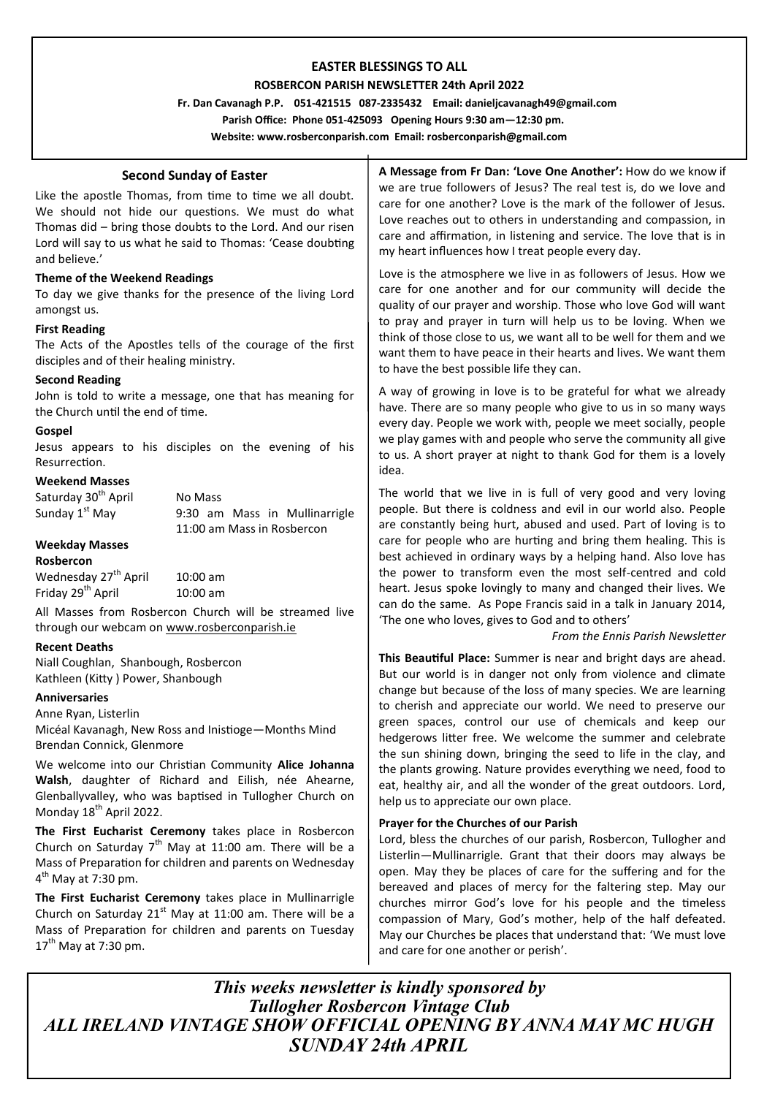# **EASTER BLESSINGS TO ALL**

### **ROSBERCON PARISH NEWSLETTER 24th April 2022**

 **Fr. Dan Cavanagh P.P. 051-421515 087-2335432 Email: danieljcavanagh49@gmail.com**

 **Parish Office: Phone 051-425093****Opening Hours 9:30 am—12:30 pm.**

**Website: www.rosberconparish.com Email: rosberconparish@gmail.com**

## **Second Sunday of Easter**

Like the apostle Thomas, from time to time we all doubt. We should not hide our questions. We must do what Thomas did – bring those doubts to the Lord. And our risen Lord will say to us what he said to Thomas: 'Cease doubting and believe.'

### **Theme of the Weekend Readings**

To day we give thanks for the presence of the living Lord amongst us.

### **First Reading**

The Acts of the Apostles tells of the courage of the first disciples and of their healing ministry.

#### **Second Reading**

John is told to write a message, one that has meaning for the Church until the end of time.

### **Gospel**

Jesus appears to his disciples on the evening of his Resurrection.

### **Weekend Masses**

Saturday 30<sup>th</sup> April No Mass Sunday  $1^{st}$  May 9:30 am Mass in Mullinarrigle 11:00 am Mass in Rosbercon

**Weekday Masses**

#### **Rosbercon**

Wednesday  $27<sup>th</sup>$  April  $10:00$  am Friday  $29<sup>th</sup>$  April  $10:00$  am

All Masses from Rosbercon Church will be streamed live through our webcam on [www.rosberconparish.ie](http://www.rosberconparish.ie/)

## **Recent Deaths**

Niall Coughlan, Shanbough, Rosbercon Kathleen (Kitty ) Power, Shanbough

#### **Anniversaries**

Anne Ryan, Listerlin Micéal Kavanagh, New Ross and Inistioge—Months Mind Brendan Connick, Glenmore

We welcome into our Christian Community **Alice Johanna Walsh**, daughter of Richard and Eilish, née Ahearne, Glenballyvalley, who was baptised in Tullogher Church on Monday 18<sup>th</sup> April 2022.

**The First Eucharist Ceremony** takes place in Rosbercon Church on Saturday  $7<sup>th</sup>$  May at 11:00 am. There will be a Mass of Preparation for children and parents on Wednesday 4<sup>th</sup> May at 7:30 pm.

**The First Eucharist Ceremony** takes place in Mullinarrigle Church on Saturday  $21^{st}$  May at 11:00 am. There will be a Mass of Preparation for children and parents on Tuesday  $17^{th}$  May at 7:30 pm.

**A Message from Fr Dan: 'Love One Another':** How do we know if we are true followers of Jesus? The real test is, do we love and care for one another? Love is the mark of the follower of Jesus. Love reaches out to others in understanding and compassion, in care and affirmation, in listening and service. The love that is in my heart influences how I treat people every day.

Love is the atmosphere we live in as followers of Jesus. How we care for one another and for our community will decide the quality of our prayer and worship. Those who love God will want to pray and prayer in turn will help us to be loving. When we think of those close to us, we want all to be well for them and we want them to have peace in their hearts and lives. We want them to have the best possible life they can.

A way of growing in love is to be grateful for what we already have. There are so many people who give to us in so many ways every day. People we work with, people we meet socially, people we play games with and people who serve the community all give to us. A short prayer at night to thank God for them is a lovely idea.

The world that we live in is full of very good and very loving people. But there is coldness and evil in our world also. People are constantly being hurt, abused and used. Part of loving is to care for people who are hurting and bring them healing. This is best achieved in ordinary ways by a helping hand. Also love has the power to transform even the most self-centred and cold heart. Jesus spoke lovingly to many and changed their lives. We can do the same. As Pope Francis said in a talk in January 2014, 'The one who loves, gives to God and to others'

### *From the Ennis Parish Newsletter*

**This Beautiful Place:** Summer is near and bright days are ahead. But our world is in danger not only from violence and climate change but because of the loss of many species. We are learning to cherish and appreciate our world. We need to preserve our green spaces, control our use of chemicals and keep our hedgerows litter free. We welcome the summer and celebrate the sun shining down, bringing the seed to life in the clay, and the plants growing. Nature provides everything we need, food to eat, healthy air, and all the wonder of the great outdoors. Lord, help us to appreciate our own place.

## **Prayer for the Churches of our Parish**

Lord, bless the churches of our parish, Rosbercon, Tullogher and Listerlin—Mullinarrigle. Grant that their doors may always be open. May they be places of care for the suffering and for the bereaved and places of mercy for the faltering step. May our churches mirror God's love for his people and the timeless compassion of Mary, God's mother, help of the half defeated. May our Churches be places that understand that: 'We must love and care for one another or perish'.

*This weeks newsletter is kindly sponsored by Tullogher Rosbercon Vintage Club ALL IRELAND VINTAGE SHOW OFFICIAL OPENING BY ANNA MAY MC HUGH SUNDAY 24th APRIL*